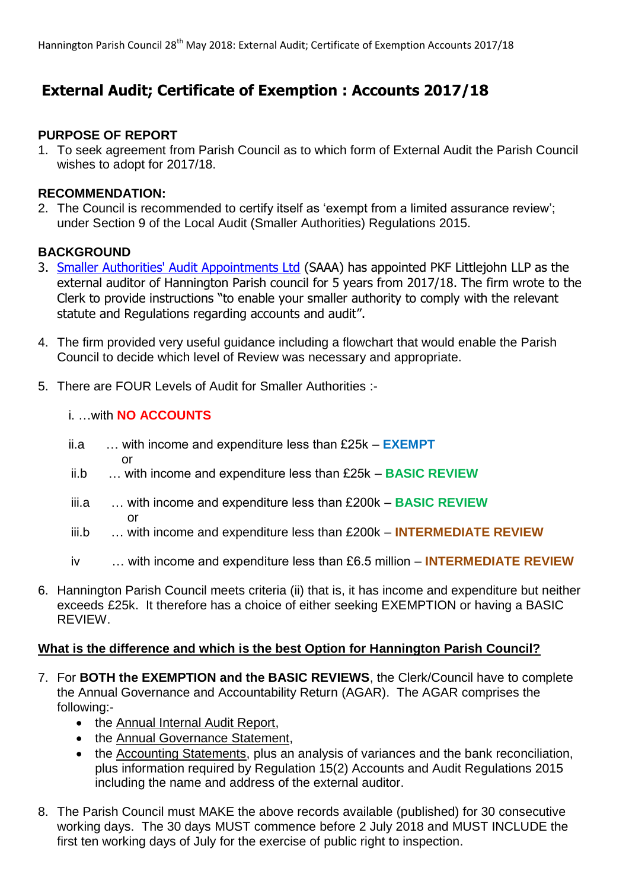# **External Audit; Certificate of Exemption : Accounts 2017/18**

#### **PURPOSE OF REPORT**

1. To seek agreement from Parish Council as to which form of External Audit the Parish Council wishes to adopt for 2017/18.

#### **RECOMMENDATION:**

2. The Council is recommended to certify itself as 'exempt from a limited assurance review'; under Section 9 of the Local Audit (Smaller Authorities) Regulations 2015.

# **BACKGROUND**

- 3. [Smaller Authorities' Audit Appointments Ltd](http://www.emodhost.com/redir.php?tr=ABCROMWI&rd=http://www.localaudits.co.uk/) (SAAA) has appointed PKF Littlejohn LLP as the external auditor of Hannington Parish council for 5 years from 2017/18. The firm wrote to the Clerk to provide instructions "to enable your smaller authority to comply with the relevant statute and Regulations regarding accounts and audit".
- 4. The firm provided very useful guidance including a flowchart that would enable the Parish Council to decide which level of Review was necessary and appropriate.
- 5. There are FOUR Levels of Audit for Smaller Authorities :-

### i. …with **NO ACCOUNTS**

- ii.a … with income and expenditure less than £25k **EXEMPT** or
- ii.b … with income and expenditure less than £25k **BASIC REVIEW**
- iii.a … with income and expenditure less than £200k **BASIC REVIEW** *<u>oriensistem</u>* 
	- iii.b … with income and expenditure less than £200k **INTERMEDIATE REVIEW**
	- iv … with income and expenditure less than £6.5 million **INTERMEDIATE REVIEW**
- 6. Hannington Parish Council meets criteria (ii) that is, it has income and expenditure but neither exceeds £25k. It therefore has a choice of either seeking EXEMPTION or having a BASIC REVIEW.

#### **What is the difference and which is the best Option for Hannington Parish Council?**

- 7. For **BOTH the EXEMPTION and the BASIC REVIEWS**, the Clerk/Council have to complete the Annual Governance and Accountability Return (AGAR). The AGAR comprises the following:-
	- the Annual Internal Audit Report,
	- the Annual Governance Statement,
	- the Accounting Statements, plus an analysis of variances and the bank reconciliation, plus information required by Regulation 15(2) Accounts and Audit Regulations 2015 including the name and address of the external auditor.
- 8. The Parish Council must MAKE the above records available (published) for 30 consecutive working days. The 30 days MUST commence before 2 July 2018 and MUST INCLUDE the first ten working days of July for the exercise of public right to inspection.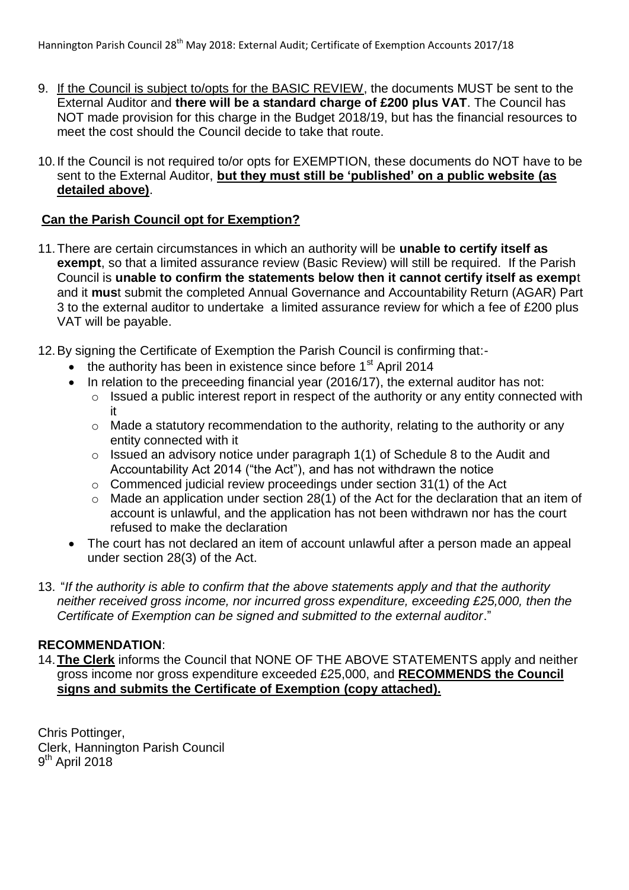- 9. If the Council is subject to/opts for the BASIC REVIEW, the documents MUST be sent to the External Auditor and **there will be a standard charge of £200 plus VAT**. The Council has NOT made provision for this charge in the Budget 2018/19, but has the financial resources to meet the cost should the Council decide to take that route.
- 10.If the Council is not required to/or opts for EXEMPTION, these documents do NOT have to be sent to the External Auditor, **but they must still be 'published' on a public website (as detailed above)**.

#### **Can the Parish Council opt for Exemption?**

- 11.There are certain circumstances in which an authority will be **unable to certify itself as exempt**, so that a limited assurance review (Basic Review) will still be required. If the Parish Council is **unable to confirm the statements below then it cannot certify itself as exemp**t and it **mus**t submit the completed Annual Governance and Accountability Return (AGAR) Part 3 to the external auditor to undertake a limited assurance review for which a fee of £200 plus VAT will be payable.
- 12.By signing the Certificate of Exemption the Parish Council is confirming that:-
	- the authority has been in existence since before  $1<sup>st</sup>$  April 2014
	- In relation to the preceeding financial year (2016/17), the external auditor has not:
		- o Issued a public interest report in respect of the authority or any entity connected with it
		- o Made a statutory recommendation to the authority, relating to the authority or any entity connected with it
		- o Issued an advisory notice under paragraph 1(1) of Schedule 8 to the Audit and Accountability Act 2014 ("the Act"), and has not withdrawn the notice
		- o Commenced judicial review proceedings under section 31(1) of the Act
		- $\circ$  Made an application under section 28(1) of the Act for the declaration that an item of account is unlawful, and the application has not been withdrawn nor has the court refused to make the declaration
	- The court has not declared an item of account unlawful after a person made an appeal under section 28(3) of the Act.
- 13. "*If the authority is able to confirm that the above statements apply and that the authority neither received gross income, nor incurred gross expenditure, exceeding £25,000, then the Certificate of Exemption can be signed and submitted to the external auditor*."

### **RECOMMENDATION**:

14.**The Clerk** informs the Council that NONE OF THE ABOVE STATEMENTS apply and neither gross income nor gross expenditure exceeded £25,000, and **RECOMMENDS the Council signs and submits the Certificate of Exemption (copy attached).**

Chris Pottinger, Clerk, Hannington Parish Council 9<sup>th</sup> April 2018